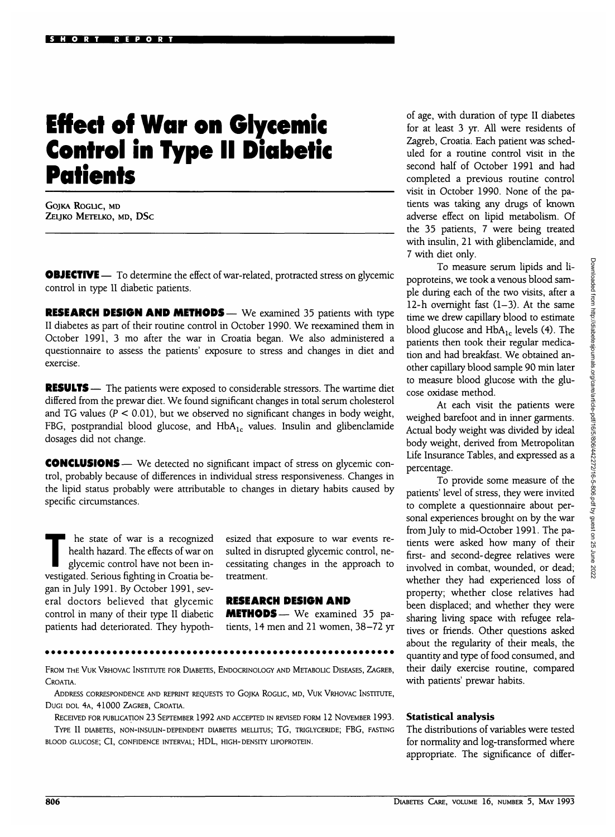## **Effect of War on Glycemic Control in Type II Diabetic Patients**

GOJKA ROGLIC, MD ZELJKO METELKO, MD, DSc

**OBJECTIVE** — To determine the effect of war-related, protracted stress on glycemic control in type II diabetic patients.

**RESEARCH DESIGN AND METHODS—** We examined 35 patients with type II diabetes as part of their routine control in October 1990. We reexamined them in October 1991, 3 mo after the war in Croatia began. We also administered a questionnaire to assess the patients' exposure to stress and changes in diet and exercise.

**RESULTS** — The patients were exposed to considerable stressors. The wartime diet differed from the prewar diet. We found significant changes in total serum cholesterol and TG values ( $P < 0.01$ ), but we observed no significant changes in body weight, FBG, postprandial blood glucose, and  $HbA<sub>1c</sub>$  values. Insulin and glibenclamide dosages did not change.

**CONCLUSIONS** — We detected no significant impact of stress on glycemic control, probably because of differences in individual stress responsiveness. Changes in the lipid status probably were attributable to changes in dietary habits caused by specific circumstances.

The state of war is a recognized<br>health hazard. The effects of war on<br>glycemic control have not been inhealth hazard. The effects of war on glycemic control have not been investigated. Serious fighting in Croatia began in July 1991. By October 1991, several doctors believed that glycemic control in many of their type II diabetic patients had deteriorated. They hypoth-

esized that exposure to war events resulted in disrupted glycemic control, necessitating changes in the approach to treatment.

## **RESEARCH DESIGN AND**

**METHODS— We examined 35 patients, 14 men and 21 women, 38-72 yr**

FROM THE VUK VRHOVAC INSTITUTE FOR DIABETES, ENDOCRINOLOGY AND METABOLIC DISEASES, ZAGREB, CROATIA.

ADDRESS CORRESPONDENCE AND REPRINT REQUESTS TO GOJKA ROGLIC, MD, VUK VRHOVAC INSTITUTE, DUGI DOL 4A, 41000 ZAGREB, CROATIA.

RECEIVED FOR PUBLICATION 23 SEPTEMBER 1992 AND ACCEPTED IN REVISED FORM 12 NOVEMBER 1993. TYPE II DIABETES, NON-INSULIN-DEPENDENT DIABETES MELLITUS; TG, TRIGLYCERIDE; FBG, FASTING BLOOD GLUCOSE; CI, CONFIDENCE INTERVAL; HDL, HIGH-DENSITY UPOPROTEIN.

of age, with duration of type II diabetes for at least 3 yr. All were residents of Zagreb, Croatia. Each patient was scheduled for a routine control visit in the second half of October 1991 and had completed a previous routine control visit in October 1990. None of the patients was taking any drugs of known adverse effect on lipid metabolism. Of the 35 patients, 7 were being treated with insulin, 21 with glibenclamide, and 7 with diet only.

To measure serum lipids and lipoproteins, we took a venous blood sample during each of the two visits, after a 12-h overnight fast  $(1-3)$ . At the same time we drew capillary blood to estimate blood glucose and  $HbA_{1c}$  levels (4). The patients then took their regular medication and had breakfast. We obtained another capillary blood sample 90 min later to measure blood glucose with the glucose oxidase method.

At each visit the patients were weighed barefoot and in inner garments. Actual body weight was divided by ideal body weight, derived from Metropolitan Life Insurance Tables, and expressed as a percentage.

To provide some measure of the patients' level of stress, they were invited to complete a questionnaire about personal experiences brought on by the war from July to mid-October 1991. The patients were asked how many of their first- and second-degree relatives were involved in combat, wounded, or dead; whether they had experienced loss of property; whether close relatives had been displaced; and whether they were sharing living space with refugee relatives or friends. Other questions asked about the regularity of their meals, the quantity and type of food consumed, and their daily exercise routine, compared with patients' prewar habits.

## **Statistical analysis**

The distributions of variables were tested for normality and log-transformed where appropriate. The significance of differ-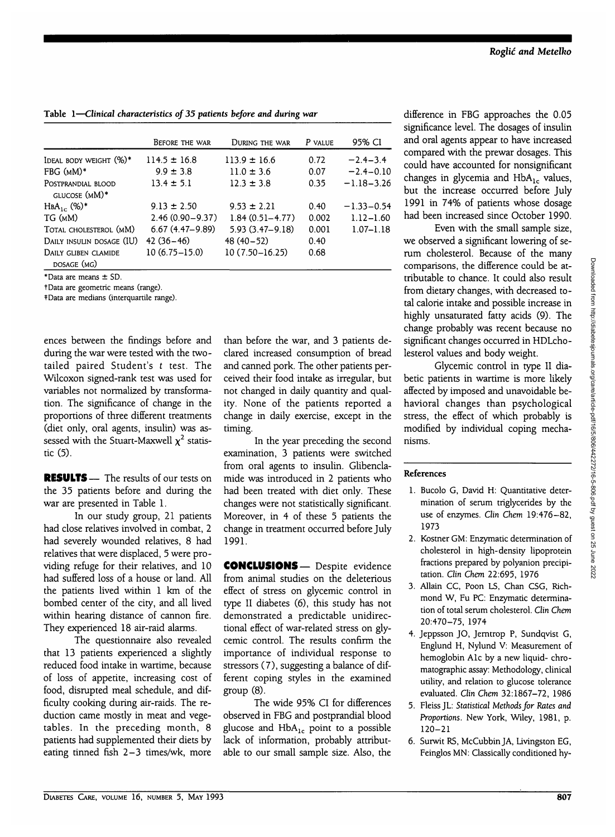|                                     | BEFORE THE WAR      | DURING THE WAR      | P VALUE | 95% CI         |
|-------------------------------------|---------------------|---------------------|---------|----------------|
| Ideal body weight (%)*              | $114.5 \pm 16.8$    | $113.9 \pm 16.6$    | 0.72    | $-2.4 - 3.4$   |
| FBG (mM)*                           | $9.9 \pm 3.8$       | $11.0 \pm 3.6$      | 0.07    | $-2.4 - 0.10$  |
| Postprandial blood<br>GLUCOSE (MM)* | $13.4 \pm 5.1$      | $12.3 \pm 3.8$      | 0.35    | $-1.18 - 3.26$ |
| ${\rm HBA}_{1c}$ (%)*               | $9.13 \pm 2.50$     | $9.53 \pm 2.21$     | 0.40    | $-1.33 - 0.54$ |
| TG (mM)                             | $2.46(0.90 - 9.37)$ | $1.84(0.51 - 4.77)$ | 0.002   | $1.12 - 1.60$  |
| Total cholesterol (mM)              | $6.67(4.47-9.89)$   | $5.93(3.47 - 9.18)$ | 0.001   | $1.07 - 1.18$  |
| Daily insulin dosage (IU)           | $42(36-46)$         | $48(40-52)$         | 0.40    |                |
| Daily gliben clamide<br>DOSAGE (MG) | $10(6.75 - 15.0)$   | $10(7.50 - 16.25)$  | 0.68    |                |

**Table 1—***Clinical characteristics of 35 patients before and during war*

\*Data are means ± SD.

tData are geometric means (range).

^Data are medians (interquartile range).

ences between the findings before and during the war were tested with the twotailed paired Student's *t* test. The Wilcoxon signed-rank test was used for variables not normalized by transformation. The significance of change in the proportions of three different treatments (diet only, oral agents, insulin) was assessed with the Stuart-Maxwell  $\chi^2$  statistic (5).

RESULTS— The results of our tests on the 35 patients before and during the war are presented in Table 1.

In our study group, 21 patients had close relatives involved in combat, 2 had severely wounded relatives, 8 had relatives that were displaced, 5 were providing refuge for their relatives, and 10 had suffered loss of a house or land. All the patients lived within 1 km of the bombed center of the city, and all lived within hearing distance of cannon fire. They experienced 18 air-raid alarms.

The questionnaire also revealed that 13 patients experienced a slightly reduced food intake in wartime, because of loss of appetite, increasing cost of food, disrupted meal schedule, and difficulty cooking during air-raids. The reduction came mostly in meat and vegetables. In the preceding month, 8 patients had supplemented their diets by eating tinned fish 2-3 times/wk, more than before the war, and 3 patients declared increased consumption of bread and canned pork. The other patients perceived their food intake as irregular, but not changed in daily quantity and quality. None of the patients reported a change in daily exercise, except in the timing.

In the year preceding the second examination, 3 patients were switched from oral agents to insulin. Glibenclamide was introduced in 2 patients who had been treated with diet only. These changes were not statistically significant. Moreover, in 4 of these 5 patients the change in treatment occurred before July 1991.

CONCLUSIONS— Despite evidence from animal studies on the deleterious effect of stress on glycemic control in type II diabetes (6), this study has not demonstrated a predictable unidirectional effect of war-related stress on glycemic control. The results confirm the importance of individual response to stressors (7), suggesting a balance of different coping styles in the examined group (8).

The wide 95% CI for differences observed in FBG and postprandial blood glucose and  $HbA_{1c}$  point to a possible lack of information, probably attributable to our small sample size. Also, the difference in FBG approaches the 0.05 significance level. The dosages of insulin and oral agents appear to have increased compared with the prewar dosages. This could have accounted for nonsignificant changes in glycemia and  $HbA_{1c}$  values, but the increase occurred before July 1991 in 74% of patients whose dosage had been increased since October 1990.

Even with the small sample size, we observed a significant lowering of serum cholesterol. Because of the many comparisons, the difference could be attributable to chance. It could also result from dietary changes, with decreased total calorie intake and possible increase in highly unsaturated fatty acids (9). The change probably was recent because no significant changes occurred in HDLcholesterol values and body weight.

Glycemic control in type II diabetic patients in wartime is more likely affected by imposed and unavoidable behavioral changes than psychological stress, the effect of which probably is modified by individual coping mechanisms.

## **References**

- 1. Bucolo G, David H: Quantitative determination of serum triglycerides by the use of enzymes. *Clin Chem* 19:476-82, 1973
- 2. Kostner GM: Enzymatic determination of cholesterol in high-density lipoprotein fractions prepared by polyanion precipitation. *Clin Chem* 22:695, 1976
- 3. Allain CC, Poon LS, Chan CSG, Richmond W, Fu PC: Enzymatic determination of total serum cholesterol. *Clin Chem* 20:470-75, 1974
- 4. Jeppsson JO, Jemtrop P, Sundqvist G, Englund H, Nylund V: Measurement of hemoglobin Ale by a new liquid- chromatographic assay: Methodology, clinical utility, and relation to glucose tolerance evaluated. *Clin Chem* 32:1867-72, 1986
- 5. Fleiss JL: *Statistical Methods for Rates and Proportions.* New York, Wiley, 1981, p. 120-21
- 6. Surwit RS, McCubbinJA, Livingston EG, Feinglos MN: Classically conditioned hy-